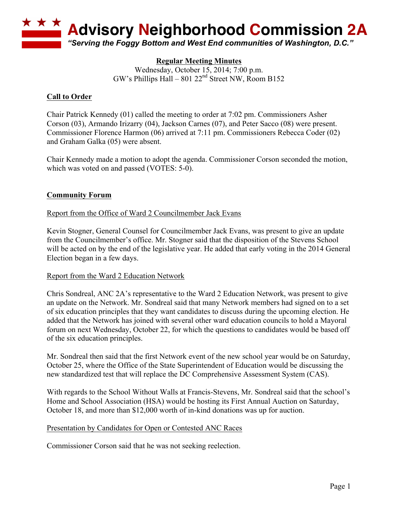

# **Regular Meeting Minutes**

Wednesday, October 15, 2014; 7:00 p.m. GW's Phillips Hall – 801  $22<sup>nd</sup>$  Street NW, Room B152

### **Call to Order**

Chair Patrick Kennedy (01) called the meeting to order at 7:02 pm. Commissioners Asher Corson (03), Armando Irizarry (04), Jackson Carnes (07), and Peter Sacco (08) were present. Commissioner Florence Harmon (06) arrived at 7:11 pm. Commissioners Rebecca Coder (02) and Graham Galka (05) were absent.

Chair Kennedy made a motion to adopt the agenda. Commissioner Corson seconded the motion, which was voted on and passed (VOTES: 5-0).

#### **Community Forum**

Report from the Office of Ward 2 Councilmember Jack Evans

Kevin Stogner, General Counsel for Councilmember Jack Evans, was present to give an update from the Councilmember's office. Mr. Stogner said that the disposition of the Stevens School will be acted on by the end of the legislative year. He added that early voting in the 2014 General Election began in a few days.

#### Report from the Ward 2 Education Network

Chris Sondreal, ANC 2A's representative to the Ward 2 Education Network, was present to give an update on the Network. Mr. Sondreal said that many Network members had signed on to a set of six education principles that they want candidates to discuss during the upcoming election. He added that the Network has joined with several other ward education councils to hold a Mayoral forum on next Wednesday, October 22, for which the questions to candidates would be based off of the six education principles.

Mr. Sondreal then said that the first Network event of the new school year would be on Saturday, October 25, where the Office of the State Superintendent of Education would be discussing the new standardized test that will replace the DC Comprehensive Assessment System (CAS).

With regards to the School Without Walls at Francis-Stevens, Mr. Sondreal said that the school's Home and School Association (HSA) would be hosting its First Annual Auction on Saturday, October 18, and more than \$12,000 worth of in-kind donations was up for auction.

#### Presentation by Candidates for Open or Contested ANC Races

Commissioner Corson said that he was not seeking reelection.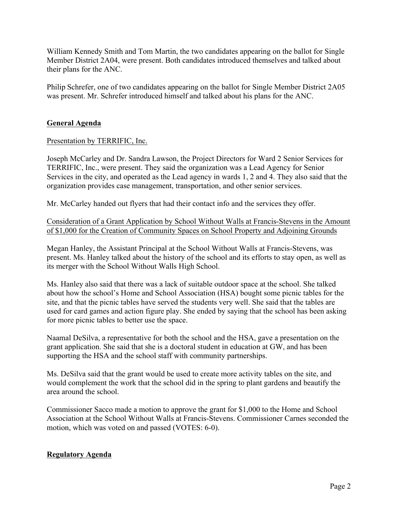William Kennedy Smith and Tom Martin, the two candidates appearing on the ballot for Single Member District 2A04, were present. Both candidates introduced themselves and talked about their plans for the ANC.

Philip Schrefer, one of two candidates appearing on the ballot for Single Member District 2A05 was present. Mr. Schrefer introduced himself and talked about his plans for the ANC.

## **General Agenda**

## Presentation by TERRIFIC, Inc.

Joseph McCarley and Dr. Sandra Lawson, the Project Directors for Ward 2 Senior Services for TERRIFIC, Inc., were present. They said the organization was a Lead Agency for Senior Services in the city, and operated as the Lead agency in wards 1, 2 and 4. They also said that the organization provides case management, transportation, and other senior services.

Mr. McCarley handed out flyers that had their contact info and the services they offer.

Consideration of a Grant Application by School Without Walls at Francis-Stevens in the Amount of \$1,000 for the Creation of Community Spaces on School Property and Adjoining Grounds

Megan Hanley, the Assistant Principal at the School Without Walls at Francis-Stevens, was present. Ms. Hanley talked about the history of the school and its efforts to stay open, as well as its merger with the School Without Walls High School.

Ms. Hanley also said that there was a lack of suitable outdoor space at the school. She talked about how the school's Home and School Association (HSA) bought some picnic tables for the site, and that the picnic tables have served the students very well. She said that the tables are used for card games and action figure play. She ended by saying that the school has been asking for more picnic tables to better use the space.

Naamal DeSilva, a representative for both the school and the HSA, gave a presentation on the grant application. She said that she is a doctoral student in education at GW, and has been supporting the HSA and the school staff with community partnerships.

Ms. DeSilva said that the grant would be used to create more activity tables on the site, and would complement the work that the school did in the spring to plant gardens and beautify the area around the school.

Commissioner Sacco made a motion to approve the grant for \$1,000 to the Home and School Association at the School Without Walls at Francis-Stevens. Commissioner Carnes seconded the motion, which was voted on and passed (VOTES: 6-0).

## **Regulatory Agenda**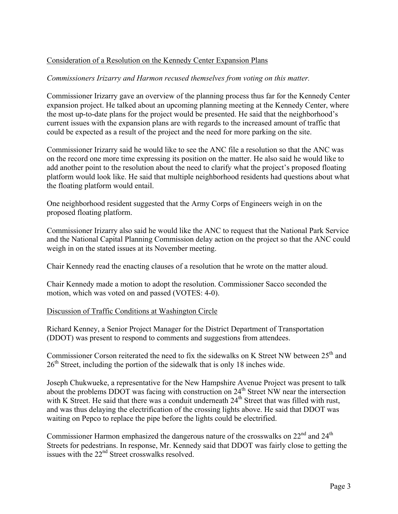## Consideration of a Resolution on the Kennedy Center Expansion Plans

#### *Commissioners Irizarry and Harmon recused themselves from voting on this matter.*

Commissioner Irizarry gave an overview of the planning process thus far for the Kennedy Center expansion project. He talked about an upcoming planning meeting at the Kennedy Center, where the most up-to-date plans for the project would be presented. He said that the neighborhood's current issues with the expansion plans are with regards to the increased amount of traffic that could be expected as a result of the project and the need for more parking on the site.

Commissioner Irizarry said he would like to see the ANC file a resolution so that the ANC was on the record one more time expressing its position on the matter. He also said he would like to add another point to the resolution about the need to clarify what the project's proposed floating platform would look like. He said that multiple neighborhood residents had questions about what the floating platform would entail.

One neighborhood resident suggested that the Army Corps of Engineers weigh in on the proposed floating platform.

Commissioner Irizarry also said he would like the ANC to request that the National Park Service and the National Capital Planning Commission delay action on the project so that the ANC could weigh in on the stated issues at its November meeting.

Chair Kennedy read the enacting clauses of a resolution that he wrote on the matter aloud.

Chair Kennedy made a motion to adopt the resolution. Commissioner Sacco seconded the motion, which was voted on and passed (VOTES: 4-0).

#### Discussion of Traffic Conditions at Washington Circle

Richard Kenney, a Senior Project Manager for the District Department of Transportation (DDOT) was present to respond to comments and suggestions from attendees.

Commissioner Corson reiterated the need to fix the sidewalks on K Street NW between  $25<sup>th</sup>$  and  $26<sup>th</sup>$  Street, including the portion of the sidewalk that is only 18 inches wide.

Joseph Chukwueke, a representative for the New Hampshire Avenue Project was present to talk about the problems DDOT was facing with construction on  $24<sup>th</sup>$  Street NW near the intersection with K Street. He said that there was a conduit underneath  $24<sup>th</sup>$  Street that was filled with rust, and was thus delaying the electrification of the crossing lights above. He said that DDOT was waiting on Pepco to replace the pipe before the lights could be electrified.

Commissioner Harmon emphasized the dangerous nature of the crosswalks on  $22<sup>nd</sup>$  and  $24<sup>th</sup>$ Streets for pedestrians. In response, Mr. Kennedy said that DDOT was fairly close to getting the issues with the 22nd Street crosswalks resolved.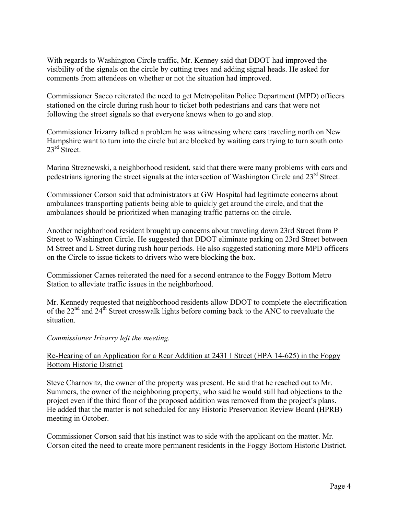With regards to Washington Circle traffic, Mr. Kenney said that DDOT had improved the visibility of the signals on the circle by cutting trees and adding signal heads. He asked for comments from attendees on whether or not the situation had improved.

Commissioner Sacco reiterated the need to get Metropolitan Police Department (MPD) officers stationed on the circle during rush hour to ticket both pedestrians and cars that were not following the street signals so that everyone knows when to go and stop.

Commissioner Irizarry talked a problem he was witnessing where cars traveling north on New Hampshire want to turn into the circle but are blocked by waiting cars trying to turn south onto  $23^{\text{rd}}$  Street.

Marina Streznewski, a neighborhood resident, said that there were many problems with cars and pedestrians ignoring the street signals at the intersection of Washington Circle and 23<sup>rd</sup> Street.

Commissioner Corson said that administrators at GW Hospital had legitimate concerns about ambulances transporting patients being able to quickly get around the circle, and that the ambulances should be prioritized when managing traffic patterns on the circle.

Another neighborhood resident brought up concerns about traveling down 23rd Street from P Street to Washington Circle. He suggested that DDOT eliminate parking on 23rd Street between M Street and L Street during rush hour periods. He also suggested stationing more MPD officers on the Circle to issue tickets to drivers who were blocking the box.

Commissioner Carnes reiterated the need for a second entrance to the Foggy Bottom Metro Station to alleviate traffic issues in the neighborhood.

Mr. Kennedy requested that neighborhood residents allow DDOT to complete the electrification of the 22<sup>nd</sup> and 24<sup>th</sup> Street crosswalk lights before coming back to the ANC to reevaluate the situation.

#### *Commissioner Irizarry left the meeting.*

## Re-Hearing of an Application for a Rear Addition at 2431 I Street (HPA 14-625) in the Foggy Bottom Historic District

Steve Charnovitz, the owner of the property was present. He said that he reached out to Mr. Summers, the owner of the neighboring property, who said he would still had objections to the project even if the third floor of the proposed addition was removed from the project's plans. He added that the matter is not scheduled for any Historic Preservation Review Board (HPRB) meeting in October.

Commissioner Corson said that his instinct was to side with the applicant on the matter. Mr. Corson cited the need to create more permanent residents in the Foggy Bottom Historic District.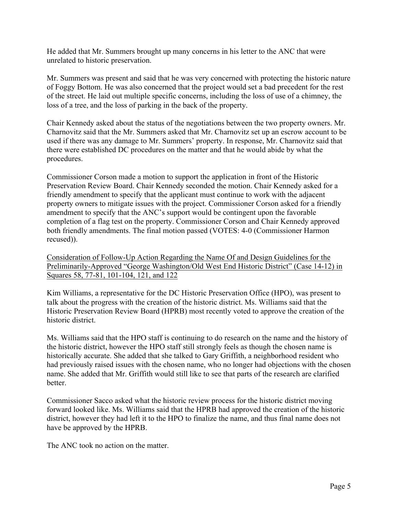He added that Mr. Summers brought up many concerns in his letter to the ANC that were unrelated to historic preservation.

Mr. Summers was present and said that he was very concerned with protecting the historic nature of Foggy Bottom. He was also concerned that the project would set a bad precedent for the rest of the street. He laid out multiple specific concerns, including the loss of use of a chimney, the loss of a tree, and the loss of parking in the back of the property.

Chair Kennedy asked about the status of the negotiations between the two property owners. Mr. Charnovitz said that the Mr. Summers asked that Mr. Charnovitz set up an escrow account to be used if there was any damage to Mr. Summers' property. In response, Mr. Charnovitz said that there were established DC procedures on the matter and that he would abide by what the procedures.

Commissioner Corson made a motion to support the application in front of the Historic Preservation Review Board. Chair Kennedy seconded the motion. Chair Kennedy asked for a friendly amendment to specify that the applicant must continue to work with the adjacent property owners to mitigate issues with the project. Commissioner Corson asked for a friendly amendment to specify that the ANC's support would be contingent upon the favorable completion of a flag test on the property. Commissioner Corson and Chair Kennedy approved both friendly amendments. The final motion passed (VOTES: 4-0 (Commissioner Harmon recused)).

Consideration of Follow-Up Action Regarding the Name Of and Design Guidelines for the Preliminarily-Approved "George Washington/Old West End Historic District" (Case 14-12) in Squares 58, 77-81, 101-104, 121, and 122

Kim Williams, a representative for the DC Historic Preservation Office (HPO), was present to talk about the progress with the creation of the historic district. Ms. Williams said that the Historic Preservation Review Board (HPRB) most recently voted to approve the creation of the historic district.

Ms. Williams said that the HPO staff is continuing to do research on the name and the history of the historic district, however the HPO staff still strongly feels as though the chosen name is historically accurate. She added that she talked to Gary Griffith, a neighborhood resident who had previously raised issues with the chosen name, who no longer had objections with the chosen name. She added that Mr. Griffith would still like to see that parts of the research are clarified **better** 

Commissioner Sacco asked what the historic review process for the historic district moving forward looked like. Ms. Williams said that the HPRB had approved the creation of the historic district, however they had left it to the HPO to finalize the name, and thus final name does not have be approved by the HPRB.

The ANC took no action on the matter.